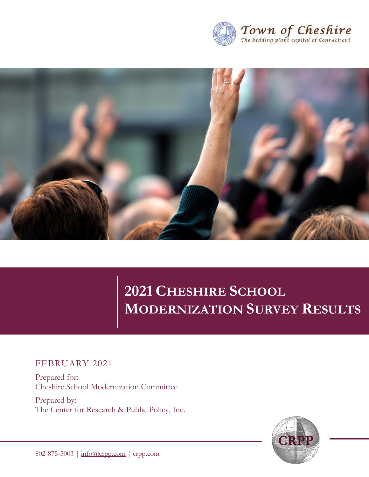



# **2021 CHESHIRE SCHOOL MODERNIZATION SURVEY RESULTS**

## FEBRUARY 2021

Prepared for: Cheshire School Modernization Committee

Prepared by: The Center for Research & Public Policy, Inc.

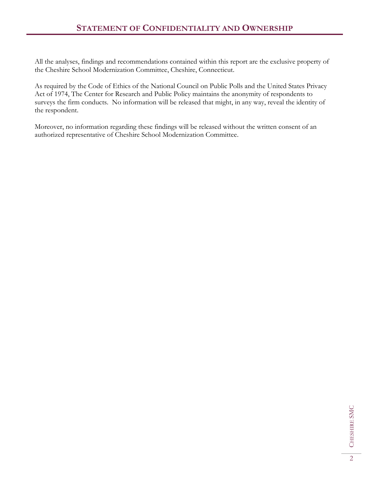All the analyses, findings and recommendations contained within this report are the exclusive property of the Cheshire School Modernization Committee, Cheshire, Connecticut.

As required by the Code of Ethics of the National Council on Public Polls and the United States Privacy Act of 1974, The Center for Research and Public Policy maintains the anonymity of respondents to surveys the firm conducts. No information will be released that might, in any way, reveal the identity of the respondent.

Moreover, no information regarding these findings will be released without the written consent of an authorized representative of Cheshire School Modernization Committee.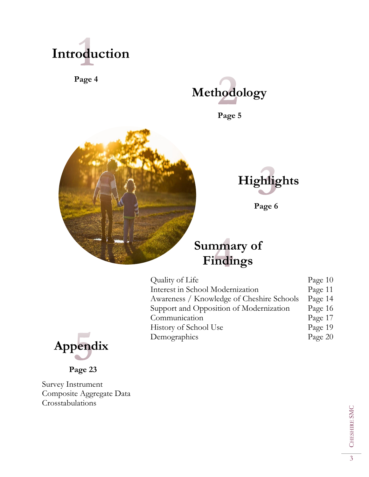

**Page 4**



**Page 5**





**Page 6**

## **Summary of Findings**

| Quality of Life                           | Page $10$ |
|-------------------------------------------|-----------|
| Interest in School Modernization          | Page 11   |
| Awareness / Knowledge of Cheshire Schools | Page 14   |
| Support and Opposition of Modernization   | Page 16   |
| Communication                             | Page 17   |
| History of School Use                     | Page 19   |
| Demographics                              | Page 20   |



**Page 23**

Survey Instrument Composite Aggregate Data Crosstabulations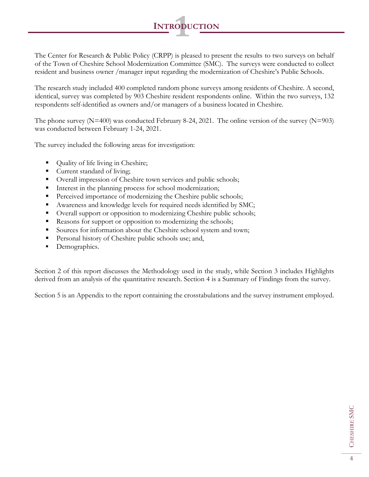The Center for Research & Public Policy (CRPP) is pleased to present the results to two surveys on behalf of the Town of Cheshire School Modernization Committee (SMC). The surveys were conducted to collect resident and business owner /manager input regarding the modernization of Cheshire's Public Schools.

**<sup>I</sup>NTRODUCTION 1**

The research study included 400 completed random phone surveys among residents of Cheshire. A second, identical, survey was completed by 903 Cheshire resident respondents online. Within the two surveys, 132 respondents self-identified as owners and/or managers of a business located in Cheshire.

The phone survey  $(N=400)$  was conducted February 8-24, 2021. The online version of the survey  $(N=903)$ was conducted between February 1-24, 2021.

The survey included the following areas for investigation:

- Quality of life living in Cheshire;
- Current standard of living;
- Overall impression of Cheshire town services and public schools;
- Interest in the planning process for school modernization;
- **•** Perceived importance of modernizing the Cheshire public schools;
- Awareness and knowledge levels for required needs identified by SMC;
- Overall support or opposition to modernizing Cheshire public schools;
- Reasons for support or opposition to modernizing the schools;
- Sources for information about the Cheshire school system and town;
- Personal history of Cheshire public schools use; and,
- Demographics.

Section 2 of this report discusses the Methodology used in the study, while Section 3 includes Highlights derived from an analysis of the quantitative research. Section 4 is a Summary of Findings from the survey.

Section 5 is an Appendix to the report containing the crosstabulations and the survey instrument employed.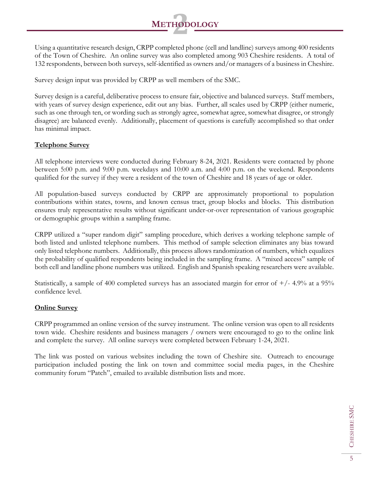

Using a quantitative research design, CRPP completed phone (cell and landline) surveys among 400 residents of the Town of Cheshire. An online survey was also completed among 903 Cheshire residents. A total of 132 respondents, between both surveys, self-identified as owners and/or managers of a business in Cheshire.

Survey design input was provided by CRPP as well members of the SMC.

Survey design is a careful, deliberative process to ensure fair, objective and balanced surveys. Staff members, with years of survey design experience, edit out any bias. Further, all scales used by CRPP (either numeric, such as one through ten, or wording such as strongly agree, somewhat agree, somewhat disagree, or strongly disagree) are balanced evenly. Additionally, placement of questions is carefully accomplished so that order has minimal impact.

### **Telephone Survey**

All telephone interviews were conducted during February 8-24, 2021. Residents were contacted by phone between 5:00 p.m. and 9:00 p.m. weekdays and 10:00 a.m. and 4:00 p.m. on the weekend. Respondents qualified for the survey if they were a resident of the town of Cheshire and 18 years of age or older.

All population-based surveys conducted by CRPP are approximately proportional to population contributions within states, towns, and known census tract, group blocks and blocks. This distribution ensures truly representative results without significant under-or-over representation of various geographic or demographic groups within a sampling frame.

CRPP utilized a "super random digit" sampling procedure, which derives a working telephone sample of both listed and unlisted telephone numbers. This method of sample selection eliminates any bias toward only listed telephone numbers. Additionally, this process allows randomization of numbers, which equalizes the probability of qualified respondents being included in the sampling frame. A "mixed access" sample of both cell and landline phone numbers was utilized. English and Spanish speaking researchers were available.

Statistically, a sample of 400 completed surveys has an associated margin for error of  $+/- 4.9\%$  at a 95% confidence level.

#### **Online Survey**

CRPP programmed an online version of the survey instrument. The online version was open to all residents town wide. Cheshire residents and business managers / owners were encouraged to go to the online link and complete the survey. All online surveys were completed between February 1-24, 2021.

The link was posted on various websites including the town of Cheshire site. Outreach to encourage participation included posting the link on town and committee social media pages, in the Cheshire community forum "Patch", emailed to available distribution lists and more.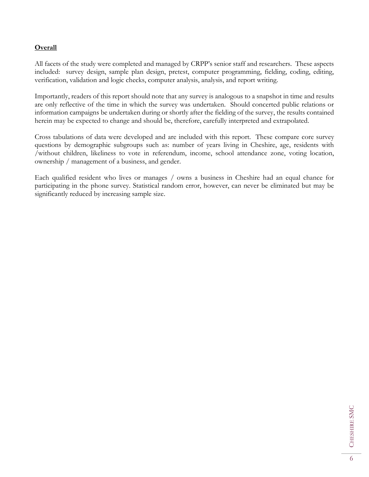#### **Overall**

All facets of the study were completed and managed by CRPP's senior staff and researchers. These aspects included: survey design, sample plan design, pretest, computer programming, fielding, coding, editing, verification, validation and logic checks, computer analysis, analysis, and report writing.

Importantly, readers of this report should note that any survey is analogous to a snapshot in time and results are only reflective of the time in which the survey was undertaken. Should concerted public relations or information campaigns be undertaken during or shortly after the fielding of the survey, the results contained herein may be expected to change and should be, therefore, carefully interpreted and extrapolated.

Cross tabulations of data were developed and are included with this report. These compare core survey questions by demographic subgroups such as: number of years living in Cheshire, age, residents with /without children, likeliness to vote in referendum, income, school attendance zone, voting location, ownership / management of a business, and gender.

Each qualified resident who lives or manages / owns a business in Cheshire had an equal chance for participating in the phone survey. Statistical random error, however, can never be eliminated but may be significantly reduced by increasing sample size.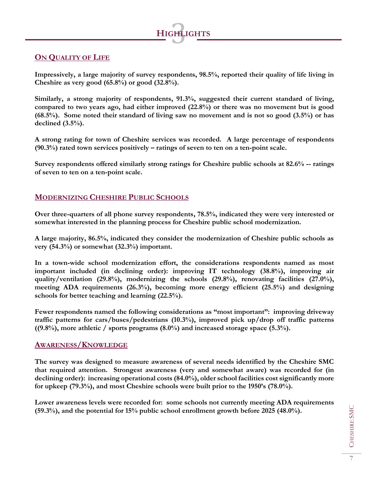

## **ON QUALITY OF LIFE**

**Impressively, a large majority of survey respondents, 98.5%, reported their quality of life living in Cheshire as very good (65.8%) or good (32.8%).**

**Similarly, a strong majority of respondents, 91.3%, suggested their current standard of living, compared to two years ago, had either improved (22.8%) or there was no movement but is good (68.5%). Some noted their standard of living saw no movement and is not so good (3.5%) or has declined (3.5%).** 

**A strong rating for town of Cheshire services was recorded. A large percentage of respondents (90.3%) rated town services positively – ratings of seven to ten on a ten-point scale.** 

**Survey respondents offered similarly strong ratings for Cheshire public schools at 82.6% -- ratings of seven to ten on a ten-point scale.** 

## **MODERNIZING CHESHIRE PUBLIC SCHOOLS**

**Over three-quarters of all phone survey respondents, 78.5%, indicated they were very interested or somewhat interested in the planning process for Cheshire public school modernization.** 

**A large majority, 86.5%, indicated they consider the modernization of Cheshire public schools as very (54.3%) or somewhat (32.3%) important.** 

**In a town-wide school modernization effort, the considerations respondents named as most important included (in declining order): improving IT technology (38.8%), improving air quality/ventilation (29.8%), modernizing the schools (29.8%), renovating facilities (27.0%), meeting ADA requirements (26.3%), becoming more energy efficient (25.5%) and designing schools for better teaching and learning (22.5%).** 

**Fewer respondents named the following considerations as "most important": improving driveway traffic patterns for cars/buses/pedestrians (10.3%), improved pick up/drop off traffic patterns ((9.8%), more athletic / sports programs (8.0%) and increased storage space (5.3%).**

### **AWARENESS/KNOWLEDGE**

**The survey was designed to measure awareness of several needs identified by the Cheshire SMC that required attention. Strongest awareness (very and somewhat aware) was recorded for (in declining order): increasing operational costs (84.0%), older school facilities cost significantly more for upkeep (79.3%), and most Cheshire schools were built prior to the 1950's (78.0%).**

**Lower awareness levels were recorded for: some schools not currently meeting ADA requirements (59.3%), and the potential for 15% public school enrollment growth before 2025 (48.0%).**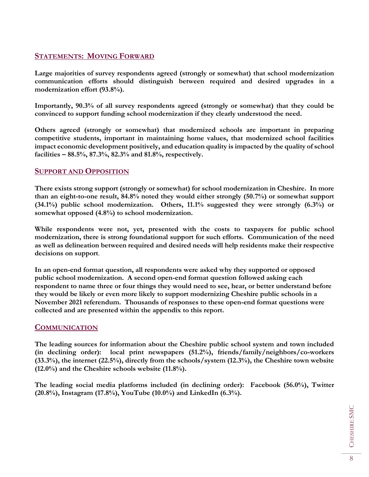## **STATEMENTS: MOVING FORWARD**

**Large majorities of survey respondents agreed (strongly or somewhat) that school modernization communication efforts should distinguish between required and desired upgrades in a modernization effort (93.8%).** 

**Importantly, 90.3% of all survey respondents agreed (strongly or somewhat) that they could be convinced to support funding school modernization if they clearly understood the need.**

**Others agreed (strongly or somewhat) that modernized schools are important in preparing competitive students, important in maintaining home values, that modernized school facilities impact economic development positively, and education quality is impacted by the quality of school facilities – 88.5%, 87.3%, 82.3% and 81.8%, respectively.**

## **SUPPORT AND OPPOSITION**

**There exists strong support (strongly or somewhat) for school modernization in Cheshire. In more than an eight-to-one result, 84.8% noted they would either strongly (50.7%) or somewhat support (34.1%) public school modernization. Others, 11.1% suggested they were strongly (6.3%) or somewhat opposed (4.8%) to school modernization.**

**While respondents were not, yet, presented with the costs to taxpayers for public school modernization, there is strong foundational support for such efforts. Communication of the need as well as delineation between required and desired needs will help residents make their respective decisions on support**.

**In an open-end format question, all respondents were asked why they supported or opposed public school modernization. A second open-end format question followed asking each respondent to name three or four things they would need to see, hear, or better understand before they would be likely or even more likely to support modernizing Cheshire public schools in a November 2021 referendum. Thousands of responses to these open-end format questions were collected and are presented within the appendix to this report.** 

### **COMMUNICATION**

**The leading sources for information about the Cheshire public school system and town included (in declining order): local print newspapers (51.2%), friends/family/neighbors/co-workers (33.3%), the internet (22.5%), directly from the schools/system (12.3%), the Cheshire town website (12.0%) and the Cheshire schools website (11.8%).**

**The leading social media platforms included (in declining order): Facebook (56.0%), Twitter (20.8%), Instagram (17.8%), YouTube (10.0%) and LinkedIn (6.3%).**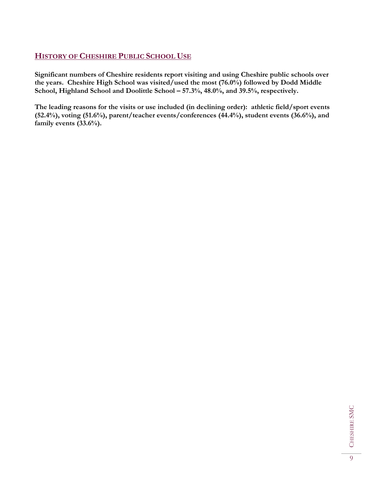## **HISTORY OF CHESHIRE PUBLIC SCHOOL USE**

**Significant numbers of Cheshire residents report visiting and using Cheshire public schools over the years. Cheshire High School was visited/used the most (76.0%) followed by Dodd Middle School, Highland School and Doolittle School – 57.3%, 48.0%, and 39.5%, respectively.**

**The leading reasons for the visits or use included (in declining order): athletic field/sport events (52.4%), voting (51.6%), parent/teacher events/conferences (44.4%), student events (36.6%), and family events (33.6%).**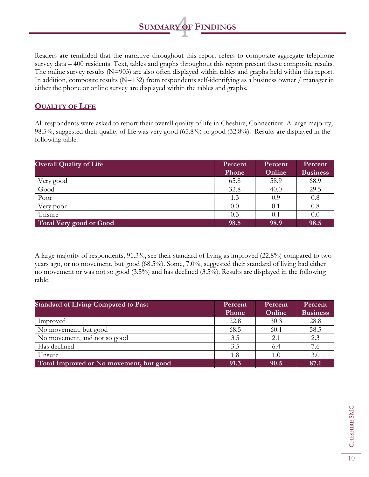Readers are reminded that the narrative throughout this report refers to composite aggregate telephone survey data – 400 residents. Text, tables and graphs throughout this report present these composite results. The online survey results (N=903) are also often displayed within tables and graphs held within this report. In addition, composite results (N=132) from respondents self-identifying as a business owner / manager in either the phone or online survey are displayed within the tables and graphs.

**SUMMARY OF FINDINGS** 

## **QUALITY OF LIFE**

All respondents were asked to report their overall quality of life in Cheshire, Connecticut. A large majority, 98.5%, suggested their quality of life was very good (65.8%) or good (32.8%). Results are displayed in the following table.

| <b>Overall Quality of Life</b> | Percent<br>Phone | Percent<br>Online | Percent<br><b>Business</b> |
|--------------------------------|------------------|-------------------|----------------------------|
| Very good                      | 65.8             | 58.9              | 68.9                       |
| Good                           | 32.8             | 40.0              | 29.5                       |
| Poor                           | 1.3              | 0.9               | 0.8                        |
| Very poor                      | 0.0              | 0.1               | 0.8                        |
| Unsure                         | 0.3              | $0.1\,$           | 0.0                        |
| Total Very good or Good        | 98.5             | 98.9              | 98.5                       |

A large majority of respondents, 91.3%, see their standard of living as improved (22.8%) compared to two years ago, or no movement, but good (68.5%). Some, 7.0%, suggested their standard of living had either no movement or was not so good (3.5%) and has declined (3.5%). Results are displayed in the following table.

| <b>Standard of Living Compared to Past</b> | Percent<br>Phone | Percent<br>Online | Percent<br><b>Business</b> |
|--------------------------------------------|------------------|-------------------|----------------------------|
| Improved                                   | 22.8             | 30.3              | 28.8                       |
| No movement, but good                      | 68.5             | 60.1              | 58.5                       |
| No movement, and not so good               | 3.5              | 2.1               | 2.3                        |
| Has declined                               | 3.5              | 6.4               | 7.6                        |
| Unsure                                     | 1.8              | 1.0               | 3.0                        |
| Total Improved or No movement, but good    | 91.3             | 90.5              | 87.1                       |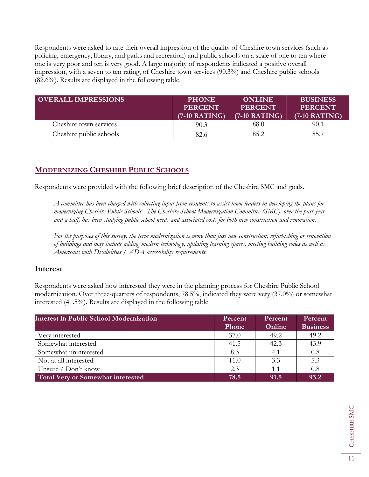Respondents were asked to rate their overall impression of the quality of Cheshire town services (such as policing, emergency, library, and parks and recreation) and public schools on a scale of one to ten where one is very poor and ten is very good. A large majority of respondents indicated a positive overall impression, with a seven to ten rating, of Cheshire town services (90.3%) and Cheshire public schools (82.6%). Results are displayed in the following table.

| <b>OVERALL IMPRESSIONS</b> | <b>PHONE</b><br><b>PERCENT</b><br>$(7-10 RATING)$ | <b>ONLINE</b><br><b>PERCENT</b><br>$(7-10 RATING)$ | <b>BUSINESS</b><br><b>PERCENT</b><br>$(7-10 RATING)$ |
|----------------------------|---------------------------------------------------|----------------------------------------------------|------------------------------------------------------|
| Cheshire town services     | 90.3                                              | 88.0                                               | 90.1                                                 |
| Cheshire public schools    | 82.6                                              | 85.2                                               | 85.7                                                 |

## **MODERNIZING CHESHIRE PUBLIC SCHOOLS**

Respondents were provided with the following brief description of the Cheshire SMC and goals.

*A committee has been charged with collecting input from residents to assist town leaders in developing the plans for modernizing Cheshire Public Schools. The Cheshire School Modernization Committee (SMC), over the past year and a half, has been studying public school needs and associated costs for both new construction and renovation.* 

*For the purposes of this survey, the term modernization is more than just new construction, refurbishing or renovation of buildings and may include adding modern technology, updating learning spaces, meeting building codes as well as Americans with Disabilities / ADA accessibility requirements.*

### **Interest**

Respondents were asked how interested they were in the planning process for Cheshire Public School modernization. Over three-quarters of respondents, 78.5%, indicated they were very (37.0%) or somewhat interested (41.5%). Results are displayed in the following table.

| <b>Interest in Public School Modernization</b> | Percent<br>Phone | Percent<br>Online | Percent<br><b>Business</b> |
|------------------------------------------------|------------------|-------------------|----------------------------|
| Very interested                                | 37.0             | 49.2              | 49.2                       |
| Somewhat interested                            | 41.5             | 42.3              | 43.9                       |
| Somewhat uninterested                          | 8.3              | 4.1               | 0.8                        |
| Not at all interested                          | 11.0             | 3.3               | 5.3                        |
| Unsure $/$ Don't know                          | 2.3              | 1.1               | 0.8                        |
| <b>Total Very or Somewhat interested</b>       | 78.5             | 91.5              | 93.2                       |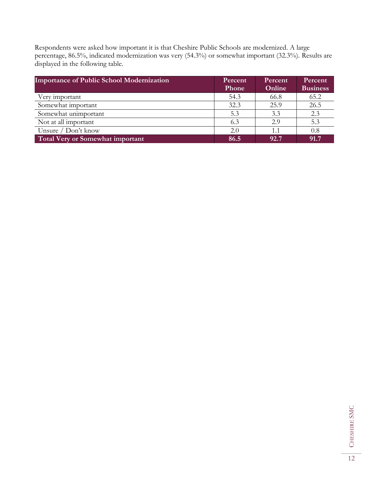Respondents were asked how important it is that Cheshire Public Schools are modernized. A large percentage, 86.5%, indicated modernization was very (54.3%) or somewhat important (32.3%). Results are displayed in the following table.

| <b>Importance of Public School Modernization</b> | Percent | Percent | Percent         |
|--------------------------------------------------|---------|---------|-----------------|
|                                                  | Phone   | Online  | <b>Business</b> |
| Very important                                   | 54.3    | 66.8    | 65.2            |
| Somewhat important                               | 32.3    | 25.9    | 26.5            |
| Somewhat unimportant                             | 5.3     | 3.3     | 2.3             |
| Not at all important                             | 6.3     | 2.9     | 5.3             |
| Unsure $/$ Don't know                            | 2.0     | 1.1     | 0.8             |
| Total Very or Somewhat important                 | 86.5    | 92.7    | 91.7            |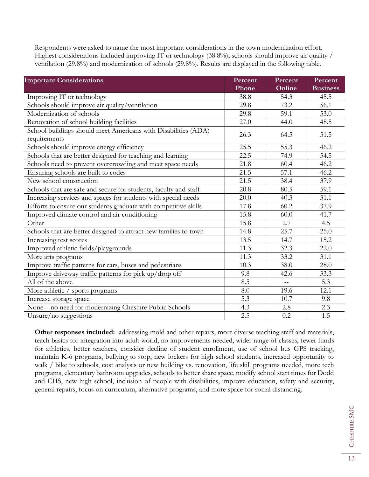Respondents were asked to name the most important considerations in the town modernization effort. Highest considerations included improving IT or technology (38.8%), schools should improve air quality / ventilation (29.8%) and modernization of schools (29.8%). Results are displayed in the following table.

| <b>Important Considerations</b>                                  | Percent<br>Phone | Percent<br>Online | Percent<br><b>Business</b> |
|------------------------------------------------------------------|------------------|-------------------|----------------------------|
| Improving IT or technology                                       | 38.8             | 54.3              | 45.5                       |
| Schools should improve air quality/ventilation                   | 29.8             | 73.2              | 56.1                       |
| Modernization of schools                                         | 29.8             | 59.1              | 53.0                       |
| Renovation of school building facilities                         | 27.0             | 44.0              | 48.5                       |
| School buildings should meet Americans with Disabilities (ADA)   |                  |                   |                            |
| requirements                                                     | 26.3             | 64.5              | 51.5                       |
| Schools should improve energy efficiency                         | 25.5             | 55.3              | 46.2                       |
| Schools that are better designed for teaching and learning       | 22.5             | $\overline{7}4.9$ | 54.5                       |
| Schools need to prevent overcrowding and meet space needs        | 21.8             | 60.4              | 46.2                       |
| Ensuring schools are built to codes                              | 21.5             | 57.1              | 46.2                       |
| New school construction                                          | 21.5             | 38.4              | 37.9                       |
| Schools that are safe and secure for students, faculty and staff | 20.8             | 80.5              | 59.1                       |
| Increasing services and spaces for students with special needs   | 20.0             | 40.3              | 31.1                       |
| Efforts to ensure our students graduate with competitive skills  | 17.8             | 60.2              | 37.9                       |
| Improved climate control and air conditioning                    | 15.8             | 60.0              | 41.7                       |
| Other                                                            | 15.8             | 2.7               | 4.5                        |
| Schools that are better designed to attract new families to town | 14.8             | 25.7              | 25.0                       |
| Increasing test scores                                           | 13.5             | 14.7              | 15.2                       |
| Improved athletic fields/playgrounds                             | 11.3             | 32.3              | 22.0                       |
| More arts programs                                               | 11.3             | 33.2              | 31.1                       |
| Improve traffic patterns for cars, buses and pedestrians         | 10.3             | 38.0              | 28.0                       |
| Improve driveway traffic patterns for pick up/drop off           | 9.8              | 42.6              | 33.3                       |
| All of the above                                                 | 8.5              | $\equiv$ $\equiv$ | 5.3                        |
| More athletic / sports programs                                  | 8.0              | 19.6              | 12.1                       |
| Increase storage space                                           | 5.3              | 10.7              | 9.8                        |
| None - no need for modernizing Cheshire Public Schools           | 4.3              | 2.8               | 2.3                        |
| Unsure/no suggestions                                            | 2.5              | $0.2\,$           | 1.5                        |

**Other responses included:** addressing mold and other repairs, more diverse teaching staff and materials, teach basics for integration into adult world, no improvements needed, wider range of classes, fewer funds for athletics, better teachers, consider decline of student enrollment, use of school bus GPS tracking, maintain K-6 programs, bullying to stop, new lockers for high school students, increased opportunity to walk / bike to schools, cost analysis or new building vs. renovation, life skill programs needed, more tech programs, elementary bathroom upgrades, schools to better share space, modify school start times for Dodd and CHS, new high school, inclusion of people with disabilities, improve education, safety and security, general repairs, focus on curriculum, alternative programs, and more space for social distancing.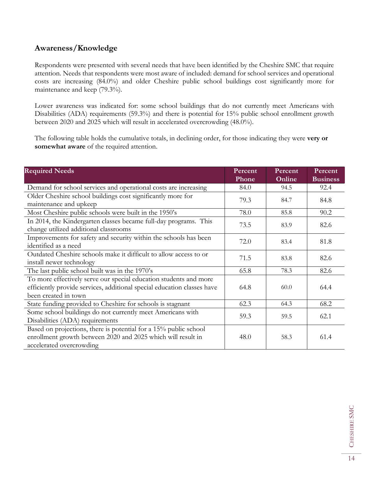## **Awareness/Knowledge**

Respondents were presented with several needs that have been identified by the Cheshire SMC that require attention. Needs that respondents were most aware of included: demand for school services and operational costs are increasing (84.0%) and older Cheshire public school buildings cost significantly more for maintenance and keep (79.3%).

Lower awareness was indicated for: some school buildings that do not currently meet Americans with Disabilities (ADA) requirements (59.3%) and there is potential for 15% public school enrollment growth between 2020 and 2025 which will result in accelerated overcrowding (48.0%).

The following table holds the cumulative totals, in declining order, for those indicating they were **very or somewhat aware** of the required attention.

| <b>Required Needs</b>                                                                                                                                                | Percent<br>Phone | Percent<br>Online | Percent<br><b>Business</b> |
|----------------------------------------------------------------------------------------------------------------------------------------------------------------------|------------------|-------------------|----------------------------|
| Demand for school services and operational costs are increasing                                                                                                      | 84.0             | 94.5              | 92.4                       |
| Older Cheshire school buildings cost significantly more for<br>maintenance and upkeep                                                                                | 79.3             | 84.7              | 84.8                       |
| Most Cheshire public schools were built in the 1950's                                                                                                                | 78.0             | 85.8              | 90.2                       |
| In 2014, the Kindergarten classes became full-day programs. This<br>change utilized additional classrooms                                                            | 73.5             | 83.9              | 82.6                       |
| Improvements for safety and security within the schools has been<br>identified as a need                                                                             | 72.0             | 83.4              | 81.8                       |
| Outdated Cheshire schools make it difficult to allow access to or<br>install newer technology                                                                        | 71.5             | 83.8              | 82.6                       |
| The last public school built was in the 1970's                                                                                                                       | 65.8             | 78.3              | 82.6                       |
| To more effectively serve our special education students and more<br>efficiently provide services, additional special education classes have<br>been created in town | 64.8             | 60.0              | 64.4                       |
| State funding provided to Cheshire for schools is stagnant                                                                                                           | 62.3             | 64.3              | 68.2                       |
| Some school buildings do not currently meet Americans with<br>Disabilities (ADA) requirements                                                                        | 59.3             | 59.5              | 62.1                       |
| Based on projections, there is potential for a 15% public school<br>enrollment growth between 2020 and 2025 which will result in<br>accelerated overcrowding         | 48.0             | 58.3              | 61.4                       |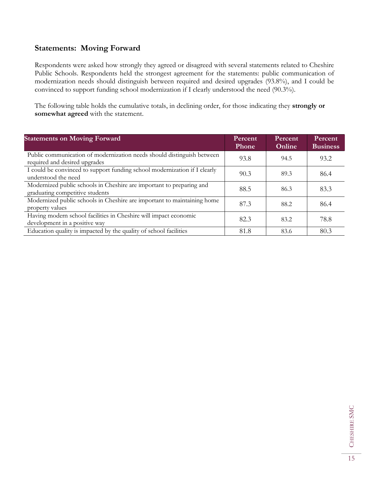## **Statements: Moving Forward**

Respondents were asked how strongly they agreed or disagreed with several statements related to Cheshire Public Schools. Respondents held the strongest agreement for the statements: public communication of modernization needs should distinguish between required and desired upgrades (93.8%), and I could be convinced to support funding school modernization if I clearly understood the need (90.3%).

The following table holds the cumulative totals, in declining order, for those indicating they **strongly or somewhat agreed** with the statement.

| <b>Statements on Moving Forward</b>                                                                     | Percent<br><b>Phone</b> | Percent<br>Online | Percent<br><b>Business</b> |
|---------------------------------------------------------------------------------------------------------|-------------------------|-------------------|----------------------------|
| Public communication of modernization needs should distinguish between<br>required and desired upgrades | 93.8                    | 94.5              | 93.2                       |
| I could be convinced to support funding school modernization if I clearly<br>understood the need        | 90.3                    | 89.3              | 86.4                       |
| Modernized public schools in Cheshire are important to preparing and<br>graduating competitive students | 88.5                    | 86.3              | 83.3                       |
| Modernized public schools in Cheshire are important to maintaining home<br>property values              | 87.3                    | 88.2              | 86.4                       |
| Having modern school facilities in Cheshire will impact economic<br>development in a positive way       | 82.3                    | 83.2              | 78.8                       |
| Education quality is impacted by the quality of school facilities                                       | 81.8                    | 83.6              | 80.3                       |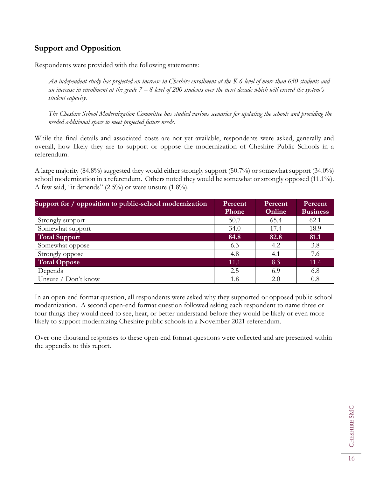## **Support and Opposition**

Respondents were provided with the following statements:

*An independent study has projected an increase in Cheshire enrollment at the K-6 level of more than 650 students and an increase in enrollment at the grade 7 – 8 level of 200 students over the next decade which will exceed the system's student capacity.*

*The Cheshire School Modernization Committee has studied various scenarios for updating the schools and providing the needed additional space to meet projected future needs.* 

While the final details and associated costs are not yet available, respondents were asked, generally and overall, how likely they are to support or oppose the modernization of Cheshire Public Schools in a referendum.

A large majority (84.8%) suggested they would either strongly support (50.7%) or somewhat support (34.0%) school modernization in a referendum. Others noted they would be somewhat or strongly opposed (11.1%). A few said, "it depends" (2.5%) or were unsure (1.8%).

| Support for / opposition to public-school modernization | Percent      | Percent | Percent         |
|---------------------------------------------------------|--------------|---------|-----------------|
|                                                         | <b>Phone</b> | Online  | <b>Business</b> |
| Strongly support                                        | 50.7         | 65.4    | 62.1            |
| Somewhat support                                        | 34.0         | 17.4    | 18.9            |
| <b>Total Support</b>                                    | 84.8         | 82.8    | 81.1            |
| Somewhat oppose                                         | 6.3          | 4.2     | 3.8             |
| Strongly oppose                                         | 4.8          | 4.1     | 7.6             |
| <b>Total Oppose</b>                                     | 11.1         | 8.3     | 11.4            |
| Depends                                                 | 2.5          | 6.9     | 6.8             |
| Unsure / Don't know                                     | 1.8          | 2.0     | 0.8             |

In an open-end format question, all respondents were asked why they supported or opposed public school modernization. A second open-end format question followed asking each respondent to name three or four things they would need to see, hear, or better understand before they would be likely or even more likely to support modernizing Cheshire public schools in a November 2021 referendum.

Over one thousand responses to these open-end format questions were collected and are presented within the appendix to this report.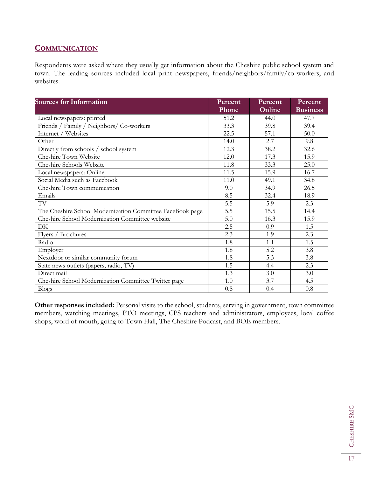## **COMMUNICATION**

Respondents were asked where they usually get information about the Cheshire public school system and town. The leading sources included local print newspapers, friends/neighbors/family/co-workers, and websites.

| <b>Sources for Information</b>                            | Percent | Percent | Percent         |
|-----------------------------------------------------------|---------|---------|-----------------|
|                                                           | Phone   | Online  | <b>Business</b> |
| Local newspapers: printed                                 | 51.2    | 44.0    | 47.7            |
| Friends / Family / Neighbors/ Co-workers                  | 33.3    | 39.8    | 39.4            |
| Internet / Websites                                       | 22.5    | 57.1    | 50.0            |
| Other                                                     | 14.0    | 2.7     | 9.8             |
| Directly from schools / school system                     | 12.3    | 38.2    | 32.6            |
| Cheshire Town Website                                     | 12.0    | 17.3    | 15.9            |
| Cheshire Schools Website                                  | 11.8    | 33.3    | 25.0            |
| Local newspapers: Online                                  | 11.5    | 15.9    | 16.7            |
| Social Media such as Facebook                             | 11.0    | 49.1    | 34.8            |
| Cheshire Town communication                               | 9.0     | 34.9    | 26.5            |
| Emails                                                    | 8.5     | 32.4    | 18.9            |
| TV                                                        | 5.5     | 5.9     | 2.3             |
| The Cheshire School Modernization Committee FaceBook page | 5.5     | 15.5    | 14.4            |
| Cheshire School Modernization Committee website           | 5.0     | 16.3    | 15.9            |
| DK                                                        | 2.5     | 0.9     | 1.5             |
| / Brochures<br><b>Flyers</b>                              | 2.3     | 1.9     | 2.3             |
| Radio                                                     | 1.8     | 1.1     | 1.5             |
| Employer                                                  | 1.8     | 5.2     | 3.8             |
| Nextdoor or similar community forum                       | 1.8     | 5.3     | 3.8             |
| State news outlets (papers, radio, TV)                    | 1.5     | 4.4     | 2.3             |
| Direct mail                                               | 1.3     | 3.0     | 3.0             |
| Cheshire School Modernization Committee Twitter page      | 1.0     | 3.7     | 4.5             |
| <b>Blogs</b>                                              | 0.8     | 0.4     | 0.8             |

**Other responses included:** Personal visits to the school, students, serving in government, town committee members, watching meetings, PTO meetings, CPS teachers and administrators, employees, local coffee shops, word of mouth, going to Town Hall, The Cheshire Podcast, and BOE members.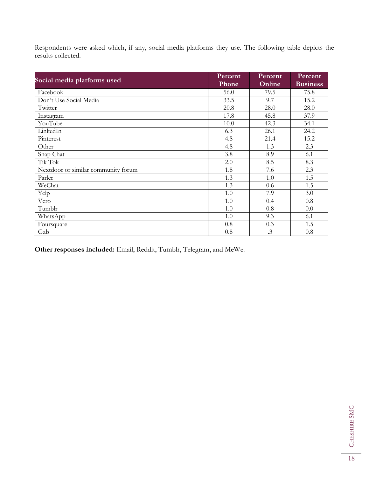Respondents were asked which, if any, social media platforms they use. The following table depicts the results collected.

| Social media platforms used         | Percent<br><b>Phone</b> | Percent<br>Online | Percent<br><b>Business</b> |
|-------------------------------------|-------------------------|-------------------|----------------------------|
| Facebook                            | 56.0                    | 79.5              | 75.8                       |
| Don't Use Social Media              | 33.5                    | 9.7               | 15.2                       |
| Twitter                             | 20.8                    | 28.0              | 28.0                       |
| Instagram                           | 17.8                    | 45.8              | 37.9                       |
| YouTube                             | 10.0                    | 42.3              | 34.1                       |
| LinkedIn                            | 6.3                     | 26.1              | 24.2                       |
| Pinterest                           | 4.8                     | 21.4              | 15.2                       |
| Other                               | 4.8                     | 1.3               | 2.3                        |
| Snap Chat                           | 3.8                     | 8.9               | 6.1                        |
| Tik Tok                             | 2.0                     | 8.5               | 8.3                        |
| Nextdoor or similar community forum | 1.8                     | 7.6               | 2.3                        |
| Parler                              | 1.3                     | 1.0               | 1.5                        |
| WeChat                              | 1.3                     | 0.6               | 1.5                        |
| Yelp                                | 1.0                     | 7.9               | 3.0                        |
| Vero                                | 1.0                     | 0.4               | 0.8                        |
| Tumblr                              | 1.0                     | 0.8               | 0.0                        |
| WhatsApp                            | 1.0                     | 9.3               | 6.1                        |
| Foursquare                          | 0.8                     | 0.3               | 1.5                        |
| Gab                                 | 0.8                     | $\cdot$ 3         | 0.8                        |

**Other responses included:** Email, Reddit, Tumblr, Telegram, and MeWe.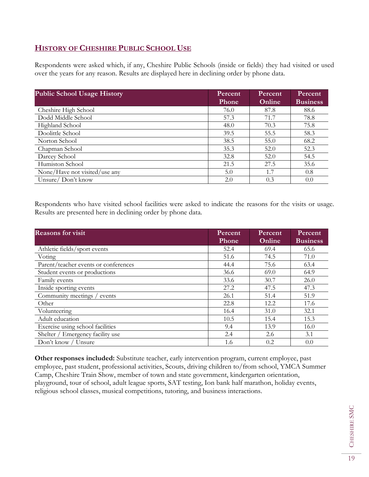## **HISTORY OF CHESHIRE PUBLIC SCHOOL USE**

Respondents were asked which, if any, Cheshire Public Schools (inside or fields) they had visited or used over the years for any reason. Results are displayed here in declining order by phone data.

| <b>Public School Usage History</b> | Percent<br><b>Phone</b> | Percent<br>Online | Percent<br><b>Business</b> |
|------------------------------------|-------------------------|-------------------|----------------------------|
| Cheshire High School               | 76.0                    | 87.8              | 88.6                       |
| Dodd Middle School                 | 57.3                    | 71.7              | 78.8                       |
| Highland School                    | 48.0                    | 70.3              | 75.8                       |
| Doolittle School                   | 39.5                    | 55.5              | 58.3                       |
| Norton School                      | 38.5                    | 55.0              | 68.2                       |
| Chapman School                     | 35.3                    | 52.0              | 52.3                       |
| Darcey School                      | 32.8                    | 52.0              | 54.5                       |
| Humiston School                    | 21.5                    | 27.5              | 35.6                       |
| None/Have not visited/use any      | 5.0                     | 1.7               | 0.8                        |
| Unsure/Don't know                  | 2.0                     | 0.3               | 0.0                        |

Respondents who have visited school facilities were asked to indicate the reasons for the visits or usage. Results are presented here in declining order by phone data.

| <b>Reasons for visit</b>             | Percent<br>Phone | Percent<br>Online | <b>Percent</b><br><b>Business</b> |
|--------------------------------------|------------------|-------------------|-----------------------------------|
| Athletic fields/sport events         | 52.4             | 69.4              | 65.6                              |
| Voting                               | 51.6             | 74.5              | 71.0                              |
| Parent/teacher events or conferences | 44.4             | 75.6              | 63.4                              |
| Student events or productions        | 36.6             | 69.0              | 64.9                              |
| Family events                        | 33.6             | 30.7              | 26.0                              |
| Inside sporting events               | 27.2             | 47.5              | 47.3                              |
| Community meetings /<br>events       | 26.1             | 51.4              | 51.9                              |
| Other                                | 22.8             | 12.2              | 17.6                              |
| Volunteering                         | 16.4             | 31.0              | 32.1                              |
| Adult education                      | 10.5             | 15.4              | 15.3                              |
| Exercise using school facilities     | 9.4              | 13.9              | 16.0                              |
| Shelter / Emergency facility use     | 2.4              | 2.6               | 3.1                               |
| Don't know / Unsure                  | 1.6              | 0.2               | 0.0                               |

**Other responses included:** Substitute teacher, early intervention program, current employee, past employee, past student, professional activities, Scouts, driving children to/from school, YMCA Summer Camp, Cheshire Train Show, member of town and state government, kindergarten orientation, playground, tour of school, adult league sports, SAT testing, Ion bank half marathon, holiday events, religious school classes, musical competitions, tutoring, and business interactions.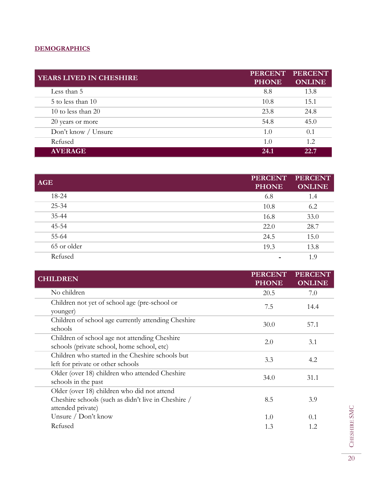## **DEMOGRAPHICS**

| YEARS LIVED IN CHESHIRE | <b>PERCENT</b><br><b>PHONE</b> | <b>PERCENT</b><br><b>ONLINE</b> |
|-------------------------|--------------------------------|---------------------------------|
| Less than 5             | 8.8                            | 13.8                            |
| 5 to less than 10       | 10.8                           | 15.1                            |
| 10 to less than $20$    | 23.8                           | 24.8                            |
| 20 years or more        | 54.8                           | 45.0                            |
| Don't know / Unsure     | 1.0                            | 0.1                             |
| Refused                 | 1.0                            | 1.2.                            |
| <b>AVERAGE</b>          | 24.1                           | 22.7                            |

| <b>AGE</b>  | <b>PERCENT</b><br><b>PHONE</b> | <b>PERCENT</b><br><b>ONLINE</b> |
|-------------|--------------------------------|---------------------------------|
| 18-24       | 6.8                            | 1.4                             |
| 25-34       | 10.8                           | 6.2                             |
| 35-44       | 16.8                           | 33.0                            |
| 45-54       | 22.0                           | 28.7                            |
| 55-64       | 24.5                           | 15.0                            |
| 65 or older | 19.3                           | 13.8                            |
| Refused     |                                | 1.9                             |

| <b>CHILDREN</b>                                                                             | <b>PERCENT</b><br><b>PHONE</b> | <b>PERCENT</b><br><b>ONLINE</b> |
|---------------------------------------------------------------------------------------------|--------------------------------|---------------------------------|
| No children                                                                                 | 20.5                           | 7.0                             |
| Children not yet of school age (pre-school or<br>younger)                                   | 7.5                            | 14.4                            |
| Children of school age currently attending Cheshire<br>schools                              | 30.0                           | 57.1                            |
| Children of school age not attending Cheshire<br>schools (private school, home school, etc) | 2.0                            | 3.1                             |
| Children who started in the Cheshire schools but<br>left for private or other schools       | 3.3                            | 4.2                             |
| Older (over 18) children who attended Cheshire<br>schools in the past                       | 34.0                           | 31.1                            |
| Older (over 18) children who did not attend                                                 |                                |                                 |
| Cheshire schools (such as didn't live in Cheshire /<br>attended private)                    | 8.5                            | 3.9                             |
| Unsure / Don't know                                                                         | 1.0                            | 0.1                             |
| Refused                                                                                     | 1.3                            | 1.2                             |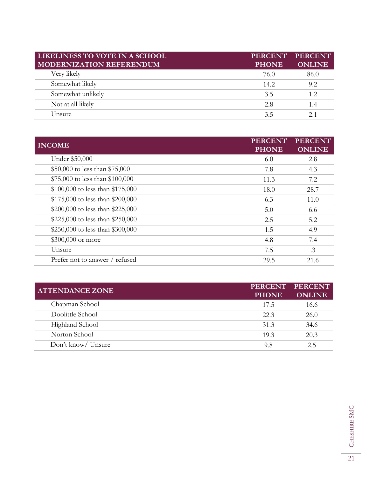| LIKELINESS TO VOTE IN A SCHOOL<br><b>MODERNIZATION REFERENDUM</b> | <b>PERCENT</b><br><b>PHONE</b> | <b>PERCENT</b><br><b>ONLINE</b> |
|-------------------------------------------------------------------|--------------------------------|---------------------------------|
| Very likely                                                       | 76.0                           | 86.0                            |
| Somewhat likely                                                   | 14.2                           | 9.2                             |
| Somewhat unlikely                                                 | 3.5                            | 1.2                             |
| Not at all likely                                                 | 2.8                            | 1.4                             |
| Unsure                                                            | 3.5                            |                                 |

| <b>INCOME</b>                    | <b>PERCENT</b><br><b>PHONE</b> | <b>PERCENT</b><br><b>ONLINE</b> |
|----------------------------------|--------------------------------|---------------------------------|
| Under \$50,000                   | 6.0                            | 2.8                             |
| \$50,000 to less than \$75,000   | 7.8                            | 4.3                             |
| \$75,000 to less than \$100,000  | 11.3                           | 7.2                             |
| \$100,000 to less than \$175,000 | 18.0                           | 28.7                            |
| \$175,000 to less than \$200,000 | 6.3                            | 11.0                            |
| \$200,000 to less than \$225,000 | 5.0                            | 6.6                             |
| \$225,000 to less than \$250,000 | 2.5                            | 5.2                             |
| \$250,000 to less than \$300,000 | 1.5                            | 4.9                             |
| \$300,000 or more                | 4.8                            | 7.4                             |
| Unsure                           | 7.5                            | $\cdot$ 3                       |
| Prefer not to answer / refused   | 29.5                           | 21.6                            |

| <b>ATTENDANCE ZONE</b> | <b>PERCENT</b><br><b>PHONE</b> | <b>PERCENT</b><br><b>ONLINE</b> |
|------------------------|--------------------------------|---------------------------------|
| Chapman School         | 17.5                           | 16.6                            |
| Doolittle School       | 22.3                           | 26.0                            |
| Highland School        | 31.3                           | 34.6                            |
| Norton School          | 19.3                           | 20.3                            |
| Don't know/ Unsure     | 9.8                            | クら                              |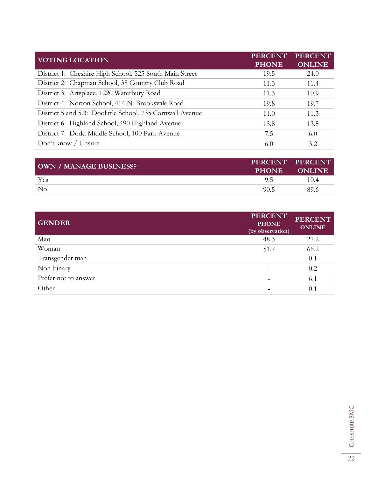| <b>VOTING LOCATION</b>                                    | <b>PERCENT</b><br><b>PHONE</b> | <b>PERCENT</b><br><b>ONLINE</b> |
|-----------------------------------------------------------|--------------------------------|---------------------------------|
| District 1: Cheshire High School, 525 South Main Street   | 19.5                           | 24.0                            |
| District 2: Chapman School, 38 Country Club Road          | 11.3                           | 11.4                            |
| District 3: Artsplace, 1220 Waterbury Road                | 11.3                           | 10.9                            |
| District 4: Norton School, 414 N. Brooksvale Road         | 19.8                           | 19.7                            |
| District 5 and 5.3: Doolittle School, 735 Cornwall Avenue | 11.0                           | 11.3                            |
| District 6: Highland School, 490 Highland Avenue          | 13.8                           | 13.5                            |
| District 7: Dodd Middle School, 100 Park Avenue           | 7.5                            | 6.0                             |
| Don't know / Unsure                                       | 6.0                            | 3.2.                            |

| OWN / MANAGE BUSINESS? | <b>PHONE</b> | PERCENT PERCENT<br><b>ONLINE</b> |
|------------------------|--------------|----------------------------------|
| Yes                    |              | 10.4                             |
| No                     | 90.5         | 89.6                             |

| <b>GENDER</b>        | <b>PERCENT</b><br><b>PHONE</b><br>(by observation) | <b>PERCENT</b><br><b>ONLINE</b> |
|----------------------|----------------------------------------------------|---------------------------------|
| Man                  | 48.3                                               | 27.2                            |
| Woman                | 51.7                                               | 66.2                            |
| Transgender man      |                                                    | 0.1                             |
| Non-binary           |                                                    | 0.2                             |
| Prefer not to answer |                                                    | 6.1                             |
| Other                |                                                    | 0.1                             |